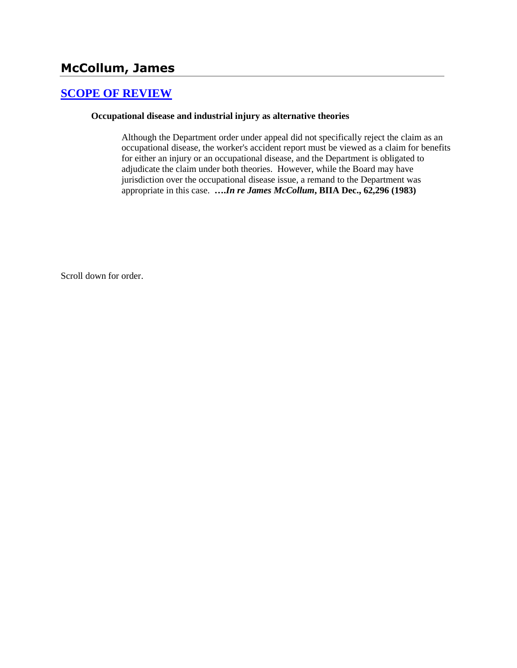# **McCollum, James**

## **[SCOPE OF REVIEW](http://www.biia.wa.gov/SDSubjectIndex.html#SCOPE_OF_REVIEW)**

#### **Occupational disease and industrial injury as alternative theories**

Although the Department order under appeal did not specifically reject the claim as an occupational disease, the worker's accident report must be viewed as a claim for benefits for either an injury or an occupational disease, and the Department is obligated to adjudicate the claim under both theories. However, while the Board may have jurisdiction over the occupational disease issue, a remand to the Department was appropriate in this case. **….***In re James McCollum***, BIIA Dec., 62,296 (1983)**

Scroll down for order.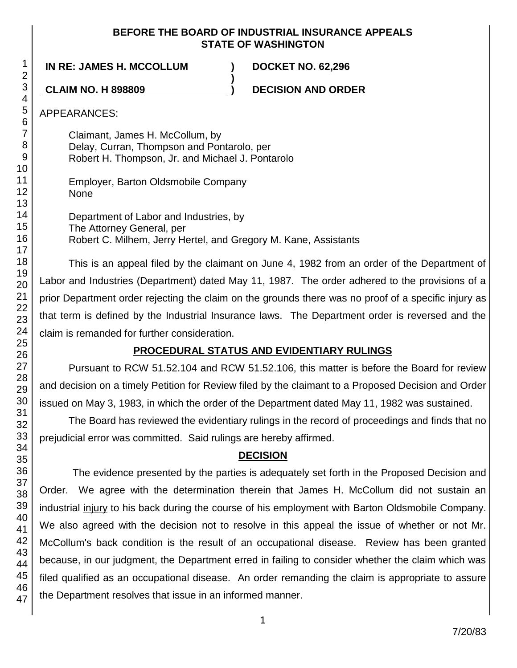### **BEFORE THE BOARD OF INDUSTRIAL INSURANCE APPEALS STATE OF WASHINGTON**

**)**

**IN RE: JAMES H. MCCOLLUM ) DOCKET NO. 62,296**

**CLAIM NO. H 898809 ) DECISION AND ORDER**

APPEARANCES:

Claimant, James H. McCollum, by Delay, Curran, Thompson and Pontarolo, per Robert H. Thompson, Jr. and Michael J. Pontarolo

Employer, Barton Oldsmobile Company None

Department of Labor and Industries, by The Attorney General, per Robert C. Milhem, Jerry Hertel, and Gregory M. Kane, Assistants

This is an appeal filed by the claimant on June 4, 1982 from an order of the Department of Labor and Industries (Department) dated May 11, 1987. The order adhered to the provisions of a prior Department order rejecting the claim on the grounds there was no proof of a specific injury as that term is defined by the Industrial Insurance laws. The Department order is reversed and the claim is remanded for further consideration.

## **PROCEDURAL STATUS AND EVIDENTIARY RULINGS**

Pursuant to RCW 51.52.104 and RCW 51.52.106, this matter is before the Board for review and decision on a timely Petition for Review filed by the claimant to a Proposed Decision and Order issued on May 3, 1983, in which the order of the Department dated May 11, 1982 was sustained.

The Board has reviewed the evidentiary rulings in the record of proceedings and finds that no prejudicial error was committed. Said rulings are hereby affirmed.

## **DECISION**

The evidence presented by the parties is adequately set forth in the Proposed Decision and Order. We agree with the determination therein that James H. McCollum did not sustain an industrial injury to his back during the course of his employment with Barton Oldsmobile Company. We also agreed with the decision not to resolve in this appeal the issue of whether or not Mr. McCollum's back condition is the result of an occupational disease. Review has been granted because, in our judgment, the Department erred in failing to consider whether the claim which was filed qualified as an occupational disease. An order remanding the claim is appropriate to assure the Department resolves that issue in an informed manner.

1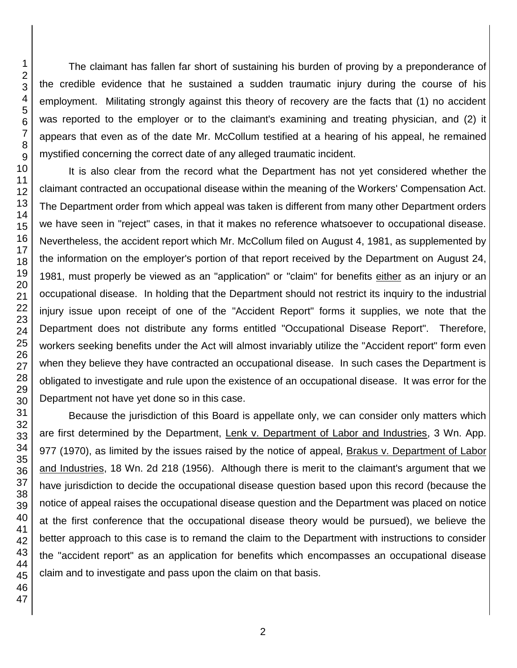The claimant has fallen far short of sustaining his burden of proving by a preponderance of the credible evidence that he sustained a sudden traumatic injury during the course of his employment. Militating strongly against this theory of recovery are the facts that (1) no accident was reported to the employer or to the claimant's examining and treating physician, and (2) it appears that even as of the date Mr. McCollum testified at a hearing of his appeal, he remained mystified concerning the correct date of any alleged traumatic incident.

It is also clear from the record what the Department has not yet considered whether the claimant contracted an occupational disease within the meaning of the Workers' Compensation Act. The Department order from which appeal was taken is different from many other Department orders we have seen in "reject" cases, in that it makes no reference whatsoever to occupational disease. Nevertheless, the accident report which Mr. McCollum filed on August 4, 1981, as supplemented by the information on the employer's portion of that report received by the Department on August 24, 1981, must properly be viewed as an "application" or "claim" for benefits either as an injury or an occupational disease. In holding that the Department should not restrict its inquiry to the industrial injury issue upon receipt of one of the "Accident Report" forms it supplies, we note that the Department does not distribute any forms entitled "Occupational Disease Report". Therefore, workers seeking benefits under the Act will almost invariably utilize the "Accident report" form even when they believe they have contracted an occupational disease. In such cases the Department is obligated to investigate and rule upon the existence of an occupational disease. It was error for the Department not have yet done so in this case.

Because the jurisdiction of this Board is appellate only, we can consider only matters which are first determined by the Department, Lenk v. Department of Labor and Industries, 3 Wn. App. 977 (1970), as limited by the issues raised by the notice of appeal, Brakus v. Department of Labor and Industries, 18 Wn. 2d 218 (1956). Although there is merit to the claimant's argument that we have jurisdiction to decide the occupational disease question based upon this record (because the notice of appeal raises the occupational disease question and the Department was placed on notice at the first conference that the occupational disease theory would be pursued), we believe the better approach to this case is to remand the claim to the Department with instructions to consider the "accident report" as an application for benefits which encompasses an occupational disease claim and to investigate and pass upon the claim on that basis.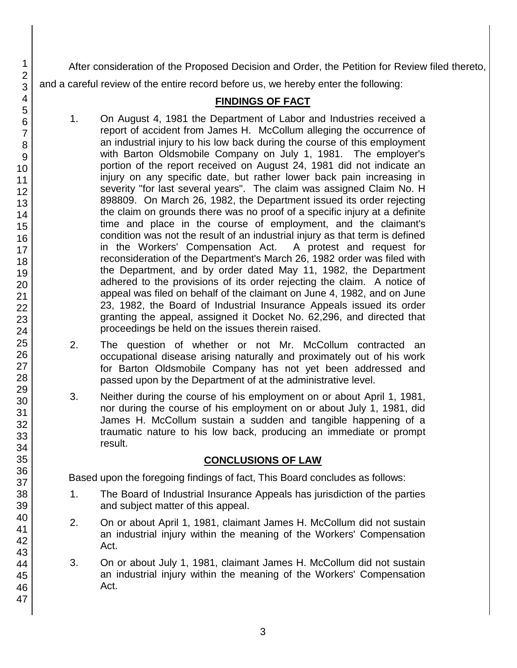After consideration of the Proposed Decision and Order, the Petition for Review filed thereto, and a careful review of the entire record before us, we hereby enter the following:

## **FINDINGS OF FACT**

- 1. On August 4, 1981 the Department of Labor and Industries received a report of accident from James H. McCollum alleging the occurrence of an industrial injury to his low back during the course of this employment with Barton Oldsmobile Company on July 1, 1981. The employer's portion of the report received on August 24, 1981 did not indicate an injury on any specific date, but rather lower back pain increasing in severity "for last several years". The claim was assigned Claim No. H 898809. On March 26, 1982, the Department issued its order rejecting the claim on grounds there was no proof of a specific injury at a definite time and place in the course of employment, and the claimant's condition was not the result of an industrial injury as that term is defined in the Workers' Compensation Act. A protest and request for reconsideration of the Department's March 26, 1982 order was filed with the Department, and by order dated May 11, 1982, the Department adhered to the provisions of its order rejecting the claim. A notice of appeal was filed on behalf of the claimant on June 4, 1982, and on June 23, 1982, the Board of Industrial Insurance Appeals issued its order granting the appeal, assigned it Docket No. 62,296, and directed that proceedings be held on the issues therein raised.
- 2. The question of whether or not Mr. McCollum contracted an occupational disease arising naturally and proximately out of his work for Barton Oldsmobile Company has not yet been addressed and passed upon by the Department of at the administrative level.
- 3. Neither during the course of his employment on or about April 1, 1981, nor during the course of his employment on or about July 1, 1981, did James H. McCollum sustain a sudden and tangible happening of a traumatic nature to his low back, producing an immediate or prompt result.

## **CONCLUSIONS OF LAW**

Based upon the foregoing findings of fact, This Board concludes as follows:

- 1. The Board of Industrial Insurance Appeals has jurisdiction of the parties and subject matter of this appeal.
- 2. On or about April 1, 1981, claimant James H. McCollum did not sustain an industrial injury within the meaning of the Workers' Compensation Act.
- 3. On or about July 1, 1981, claimant James H. McCollum did not sustain an industrial injury within the meaning of the Workers' Compensation Act.